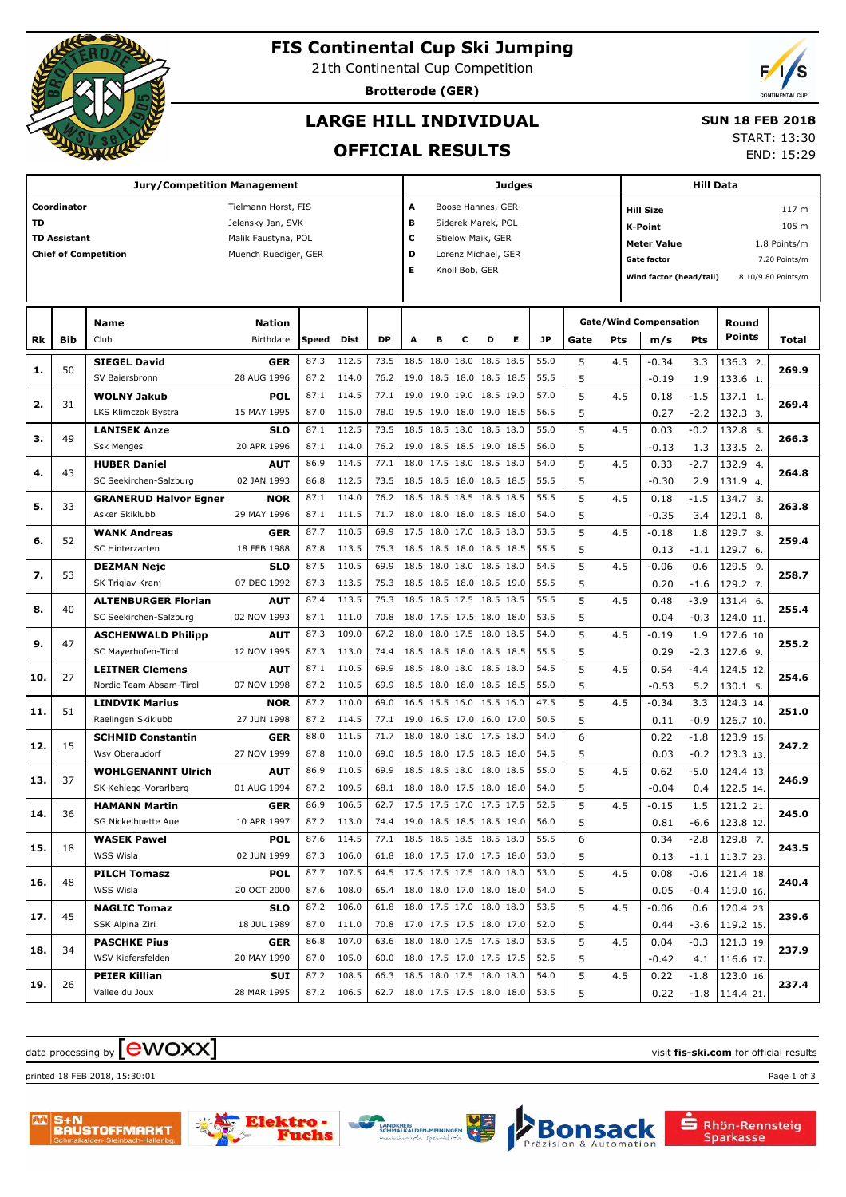

## **FIS Continental Cup Ski Jumping**

21th Continental Cup Competition

**Brotterode (GER)**

## **LARGE HILL INDIVIDUAL**

#### **SUN 18 FEB 2018**

**OFFICIAL RESULTS**

START: 13:30

END: 15:29

|     |                     | <b>Jury/Competition Management</b> | Judges               |       |             |           |                                 |                          |                |                     | <b>Hill Data</b> |      |      |     |                               |        |                    |                    |
|-----|---------------------|------------------------------------|----------------------|-------|-------------|-----------|---------------------------------|--------------------------|----------------|---------------------|------------------|------|------|-----|-------------------------------|--------|--------------------|--------------------|
|     | Coordinator         |                                    | Tielmann Horst, FIS  |       |             |           | А                               |                          |                | Boose Hannes, GER   |                  |      |      |     | <b>Hill Size</b>              |        |                    | 117 m              |
| TD  |                     |                                    | Jelensky Jan, SVK    |       |             |           | в                               |                          |                | Siderek Marek, POL  |                  |      |      |     | <b>K-Point</b>                |        |                    | 105 m              |
|     | <b>TD Assistant</b> |                                    | Malik Faustyna, POL  |       |             |           | с                               |                          |                | Stielow Maik, GER   |                  |      |      |     | <b>Meter Value</b>            |        |                    | 1.8 Points/m       |
|     |                     | <b>Chief of Competition</b>        | Muench Ruediger, GER |       |             |           | D                               |                          |                | Lorenz Michael, GER |                  |      |      |     | <b>Gate factor</b>            |        |                    | 7.20 Points/m      |
|     |                     |                                    |                      |       |             |           | Е                               |                          | Knoll Bob, GER |                     |                  |      |      |     | Wind factor (head/tail)       |        |                    | 8.10/9.80 Points/m |
|     |                     |                                    |                      |       |             |           |                                 |                          |                |                     |                  |      |      |     |                               |        |                    |                    |
|     |                     |                                    |                      |       |             |           |                                 |                          |                |                     |                  |      |      |     |                               |        |                    |                    |
|     |                     | Name                               | <b>Nation</b>        |       |             |           |                                 |                          |                |                     |                  |      |      |     | <b>Gate/Wind Compensation</b> |        | Round              |                    |
| Rk  | Bib                 | Club                               | Birthdate            | Speed | <b>Dist</b> | <b>DP</b> | A                               | в                        | с              | D                   | Е                | JP   | Gate | Pts | m/s                           | Pts    | <b>Points</b>      | Total              |
| 1.  | 50                  | <b>SIEGEL David</b>                | <b>GER</b>           | 87.3  | 112.5       | 73.5      |                                 | 18.5 18.0 18.0 18.5 18.5 |                |                     |                  | 55.0 | 5    | 4.5 | $-0.34$                       | 3.3    | 136.3 2.           | 269.9              |
|     |                     | SV Baiersbronn                     | 28 AUG 1996          | 87.2  | 114.0       | 76.2      |                                 | 19.0 18.5 18.0 18.5 18.5 |                |                     |                  | 55.5 | 5    |     | $-0.19$                       | 1.9    | 133.6 1.           |                    |
| 2.  | 31                  | <b>WOLNY Jakub</b>                 | <b>POL</b>           | 87.1  | 114.5       | 77.1      | 19.0                            | 19.0 19.0 18.5 19.0      |                |                     |                  | 57.0 | 5    | 4.5 | 0.18                          | $-1.5$ | 137.1 1.           | 269.4              |
|     |                     | LKS Klimczok Bystra                | 15 MAY 1995          | 87.0  | 115.0       | 78.0      |                                 | 19.5 19.0 18.0 19.0 18.5 |                |                     |                  | 56.5 | 5    |     | 0.27                          | $-2.2$ | 132.3 3.           |                    |
| з.  | 49                  | <b>LANISEK Anze</b>                | <b>SLO</b>           | 87.1  | 112.5       | 73.5      |                                 | 18.5 18.5 18.0 18.5 18.0 |                |                     |                  | 55.0 | 5    | 4.5 | 0.03                          | $-0.2$ | 132.8 5.           | 266.3              |
|     |                     | <b>Ssk Menges</b>                  | 20 APR 1996          | 87.1  | 114.0       | 76.2      |                                 | 19.0 18.5 18.5 19.0 18.5 |                |                     |                  | 56.0 | 5    |     | $-0.13$                       | 1.3    | 133.5 2.           |                    |
| 4.  | 43                  | <b>HUBER Daniel</b>                | <b>AUT</b>           | 86.9  | 114.5       | 77.1      |                                 | 18.0 17.5 18.0 18.5 18.0 |                |                     |                  | 54.0 | 5    | 4.5 | 0.33                          | $-2.7$ | 132.9 4.           | 264.8              |
|     |                     | SC Seekirchen-Salzburg             | 02 JAN 1993          | 86.8  | 112.5       | 73.5      |                                 | 18.5 18.5 18.0 18.5 18.5 |                |                     |                  | 55.5 | 5    |     | $-0.30$                       | 2.9    | 131.9 4.           |                    |
| 5.  | 33                  | <b>GRANERUD Halvor Egner</b>       | <b>NOR</b>           | 87.1  | 114.0       | 76.2      |                                 | 18.5 18.5 18.5 18.5 18.5 |                |                     |                  | 55.5 | 5    | 4.5 | 0.18                          | $-1.5$ | 134.7 3.           | 263.8              |
|     |                     | Asker Skiklubb                     | 29 MAY 1996          | 87.1  | 111.5       | 71.7      |                                 | 18.0 18.0 18.0 18.5 18.0 |                |                     |                  | 54.0 | 5    |     | $-0.35$                       | 3.4    | 129.1 8.           |                    |
| 6.  | 52                  | <b>WANK Andreas</b>                | <b>GER</b>           | 87.7  | 110.5       | 69.9      |                                 | 17.5 18.0 17.0 18.5 18.0 |                |                     |                  | 53.5 | 5    | 4.5 | $-0.18$                       | 1.8    | 129.7 8.           | 259.4              |
|     |                     | SC Hinterzarten                    | 18 FEB 1988          | 87.8  | 113.5       | 75.3      |                                 | 18.5 18.5 18.0 18.5 18.5 |                |                     |                  | 55.5 | 5    |     | 0.13                          | $-1.1$ | 129.7 6.           |                    |
| 7.  | 53                  | <b>DEZMAN Nejc</b>                 | <b>SLO</b>           | 87.5  | 110.5       | 69.9      |                                 | 18.5 18.0 18.0 18.5 18.0 |                |                     |                  | 54.5 | 5    | 4.5 | $-0.06$                       | 0.6    | 129.5 9.           | 258.7              |
|     |                     | SK Triglav Kranj                   | 07 DEC 1992          | 87.3  | 113.5       | 75.3      |                                 | 18.5 18.5 18.0 18.5 19.0 |                |                     |                  | 55.5 | 5    |     | 0.20                          | $-1.6$ | 129.2 7.           |                    |
|     | 40                  | <b>ALTENBURGER Florian</b>         | <b>AUT</b>           | 87.4  | 113.5       | 75.3      |                                 | 18.5 18.5 17.5 18.5 18.5 |                |                     |                  | 55.5 | 5    | 4.5 | 0.48                          | $-3.9$ | 131.4 6.           |                    |
| 8.  |                     | SC Seekirchen-Salzburg             | 02 NOV 1993          | 87.1  | 111.0       | 70.8      |                                 | 18.0 17.5 17.5 18.0 18.0 |                |                     |                  | 53.5 | 5    |     | 0.04                          | $-0.3$ | 124.0 11.          | 255.4              |
|     | 47                  | <b>ASCHENWALD Philipp</b>          | <b>AUT</b>           | 87.3  | 109.0       | 67.2      | 18.0                            | 18.0 17.5 18.0 18.5      |                |                     |                  | 54.0 | 5    | 4.5 | $-0.19$                       | 1.9    | 127.6 10.          |                    |
| 9.  |                     | SC Mayerhofen-Tirol                | 12 NOV 1995          | 87.3  | 113.0       | 74.4      |                                 | 18.5 18.5 18.0 18.5 18.5 |                |                     |                  | 55.5 | 5    |     | 0.29                          | $-2.3$ | 127.6 9.           | 255.2              |
|     | 27                  | <b>LEITNER Clemens</b>             | <b>AUT</b>           | 87.1  | 110.5       | 69.9      |                                 | 18.5 18.0 18.0 18.5 18.0 |                |                     |                  | 54.5 | 5    | 4.5 | 0.54                          | $-4.4$ | 124.5 12.          | 254.6              |
| 10. |                     | Nordic Team Absam-Tirol            | 07 NOV 1998          | 87.2  | 110.5       | 69.9      |                                 | 18.5 18.0 18.0 18.5 18.5 |                |                     |                  | 55.0 | 5    |     | $-0.53$                       | 5.2    | $130.1$ 5.         |                    |
|     |                     | <b>LINDVIK Marius</b>              | <b>NOR</b>           | 87.2  | 110.0       | 69.0      |                                 | 16.5 15.5 16.0 15.5 16.0 |                |                     |                  | 47.5 | 5    | 4.5 | $-0.34$                       | 3.3    | 124.3 14.          |                    |
| 11. | 51                  | Raelingen Skiklubb                 | 27 JUN 1998          | 87.2  | 114.5       | 77.1      |                                 | 19.0 16.5 17.0 16.0 17.0 |                |                     |                  | 50.5 | 5    |     | 0.11                          | $-0.9$ | 126.7 10.          | 251.0              |
|     |                     | <b>SCHMID Constantin</b>           | <b>GER</b>           | 88.0  | 111.5       | 71.7      | 18.0                            | 18.0 18.0 17.5 18.0      |                |                     |                  | 54.0 | 6    |     | 0.22                          | $-1.8$ | 123.9 15.          |                    |
| 12. | 15                  | Wsv Oberaudorf                     | 27 NOV 1999          | 87.8  | 110.0       | 69.0      |                                 | 18.5 18.0 17.5 18.5 18.0 |                |                     |                  | 54.5 | 5    |     | 0.03                          | $-0.2$ | 123.3 13.          | 247.2              |
|     |                     | <b>WOHLGENANNT Ulrich</b>          | <b>AUT</b>           | 86.9  | 110.5       | 69.9      |                                 | 18.5 18.5 18.0 18.0 18.5 |                |                     |                  | 55.0 | 5    | 4.5 | 0.62                          | $-5.0$ | 124.4 13.          |                    |
| 13. | 37                  | SK Kehlegg-Vorarlberg              | 01 AUG 1994          | 87.2  | 109.5       | 68.1      |                                 | 18.0 18.0 17.5 18.0 18.0 |                |                     |                  | 54.0 | 5    |     | $-0.04$                       | 0.4    | 122.5 14.          | 246.9              |
|     |                     | <b>HAMANN Martin</b>               | <b>GER</b>           | 86.9  | 106.5       | 62.7      |                                 | 17.5 17.5 17.0 17.5 17.5 |                |                     |                  | 52.5 | 5    | 4.5 | $-0.15$                       | 1.5    | 121.2 21.          |                    |
| 14. | 36                  | SG Nickelhuette Aue                | 10 APR 1997          |       | 87.2 113.0  |           | 74.4   19.0 18.5 18.5 18.5 19.0 |                          |                |                     |                  | 56.0 | 5    |     | 0.81                          |        | $-6.6$   123.8 12. | 245.0              |
|     |                     | <b>WASEK Pawel</b>                 | <b>POL</b>           | 87.6  | 114.5       |           | 77.1   18.5 18.5 18.5 18.5 18.0 |                          |                |                     |                  | 55.5 | 6    |     | 0.34                          | $-2.8$ | 129.8 7.           |                    |
| 15. | 18                  | WSS Wisla                          | 02 JUN 1999          |       | 87.3 106.0  | 61.8      | 18.0 17.5 17.0 17.5 18.0        |                          |                |                     |                  | 53.0 | 5    |     | 0.13                          |        | $-1.1$ 113.7 23.   | 243.5              |
|     |                     | <b>PILCH Tomasz</b>                | <b>POL</b>           |       | 87.7 107.5  | 64.5      |                                 | 17.5 17.5 17.5 18.0 18.0 |                |                     |                  | 53.0 | 5    | 4.5 | 0.08                          | -0.6   | 121.4 18.          |                    |
| 16. | 48                  | WSS Wisla                          | 20 OCT 2000          |       | 87.6 108.0  | 65.4      | 18.0 18.0 17.0 18.0 18.0        |                          |                |                     |                  | 54.0 | 5    |     | 0.05                          | -0.4   | 119.0 16.          | 240.4              |
|     |                     | <b>NAGLIC Tomaz</b>                | <b>SLO</b>           | 87.2  | 106.0       | 61.8      |                                 | 18.0 17.5 17.0 18.0 18.0 |                |                     |                  | 53.5 | 5    | 4.5 | $-0.06$                       | 0.6    | 120.4 23.          |                    |
| 17. | 45                  | SSK Alpina Ziri                    | 18 JUL 1989          |       | 87.0 111.0  | 70.8      | 17.0 17.5 17.5 18.0 17.0        |                          |                |                     |                  | 52.0 | 5    |     | 0.44                          | $-3.6$ | 119.2 15.          | 239.6              |
|     |                     | <b>PASCHKE Pius</b>                | <b>GER</b>           | 86.8  | 107.0       | 63.6      |                                 | 18.0 18.0 17.5 17.5 18.0 |                |                     |                  | 53.5 | 5    | 4.5 | 0.04                          | $-0.3$ | 121.3 19.          |                    |
| 18. | 34                  | WSV Kiefersfelden                  | 20 MAY 1990          |       | 87.0 105.0  | 60.0      | 18.0 17.5 17.0 17.5 17.5        |                          |                |                     |                  | 52.5 | 5    |     | $-0.42$                       | 4.1    | 116.6 17.          | 237.9              |
|     |                     | <b>PEIER Killian</b>               | SUI                  | 87.2  | 108.5       | 66.3      |                                 | 18.5 18.0 17.5 18.0 18.0 |                |                     |                  | 54.0 | 5    | 4.5 | 0.22                          | -1.8   | 123.0 16.          |                    |
| 19. | 26                  | Vallee du Joux                     | 28 MAR 1995          |       | 87.2 106.5  | 62.7      | 18.0 17.5 17.5 18.0 18.0        |                          |                |                     |                  | 53.5 | 5    |     | 0.22                          |        | $-1.8$   114.4 21. | 237.4              |
|     |                     |                                    |                      |       |             |           |                                 |                          |                |                     |                  |      |      |     |                               |        |                    |                    |

## $\alpha$  data processing by  $\boxed{\text{ewOX}}$

printed 18 FEB 2018, 15:30:01 Page 1 of 3







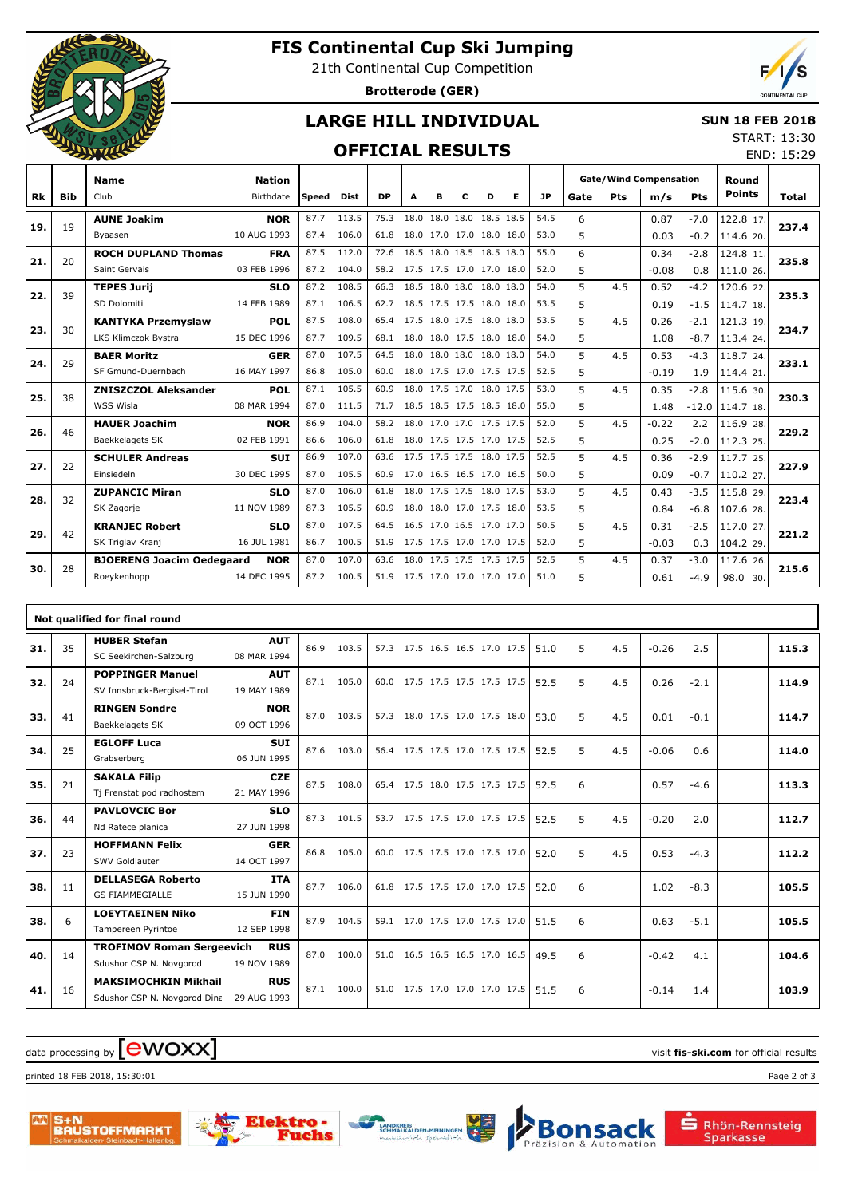

## **FIS Continental Cup Ski Jumping**

21th Continental Cup Competition

**Brotterode (GER)**



END: 15:29

## **LARGE HILL INDIVIDUAL**

#### **SUN 18 FEB 2018** START: 13:30

### **OFFICIAL RESULTS**

|     |            | <b>Name</b>                      | <b>Nation</b> |              |       |           |                          |                          |   |   |   |      | <b>Gate/Wind Compensation</b> |     |         | Round   |               |       |
|-----|------------|----------------------------------|---------------|--------------|-------|-----------|--------------------------|--------------------------|---|---|---|------|-------------------------------|-----|---------|---------|---------------|-------|
| Rk  | <b>Bib</b> | Club                             | Birthdate     | <b>Speed</b> | Dist  | <b>DP</b> | A                        | в                        | с | D | Е | JP   | Gate                          | Pts | m/s     | Pts     | <b>Points</b> | Total |
| 19. | 19         | <b>AUNE Joakim</b>               | <b>NOR</b>    | 87.7         | 113.5 | 75.3      |                          | 18.0 18.0 18.0 18.5 18.5 |   |   |   | 54.5 | 6                             |     | 0.87    | $-7.0$  | 122.8 17.     | 237.4 |
|     |            | Byaasen                          | 10 AUG 1993   | 87.4         | 106.0 | 61.8      |                          | 18.0 17.0 17.0 18.0 18.0 |   |   |   | 53.0 | 5                             |     | 0.03    | $-0.2$  | 114.6 20.     |       |
| 21. | 20         | <b>ROCH DUPLAND Thomas</b>       | <b>FRA</b>    | 87.5         | 112.0 | 72.6      |                          | 18.5 18.0 18.5 18.5 18.0 |   |   |   | 55.0 | 6                             |     | 0.34    | $-2.8$  | 124.8 11.     | 235.8 |
|     |            | Saint Gervais                    | 03 FEB 1996   | 87.2         | 104.0 | 58.2      |                          | 17.5 17.5 17.0 17.0 18.0 |   |   |   | 52.0 | 5                             |     | $-0.08$ | 0.8     | 111.0 26.     |       |
| 22. | 39         | <b>TEPES Jurij</b>               | <b>SLO</b>    | 87.2         | 108.5 | 66.3      |                          | 18.5 18.0 18.0 18.0 18.0 |   |   |   | 54.0 | 5                             | 4.5 | 0.52    | $-4.2$  | 120.6 22.     | 235.3 |
|     |            | SD Dolomiti                      | 14 FEB 1989   | 87.1         | 106.5 | 62.7      |                          | 18.5 17.5 17.5 18.0 18.0 |   |   |   | 53.5 | 5                             |     | 0.19    | $-1.5$  | 114.7 18.     |       |
| 23. | 30         | <b>KANTYKA Przemyslaw</b>        | <b>POL</b>    | 87.5         | 108.0 | 65.4      |                          | 17.5 18.0 17.5 18.0 18.0 |   |   |   | 53.5 | 5                             | 4.5 | 0.26    | $-2.1$  | 121.3 19.     | 234.7 |
|     |            | LKS Klimczok Bystra              | 15 DEC 1996   | 87.7         | 109.5 | 68.1      |                          | 18.0 18.0 17.5 18.0 18.0 |   |   |   | 54.0 | 5                             |     | 1.08    | $-8.7$  | 113.4 24.     |       |
| 24. | 29         | <b>BAER Moritz</b>               | <b>GER</b>    | 87.0         | 107.5 | 64.5      |                          | 18.0 18.0 18.0 18.0 18.0 |   |   |   | 54.0 | 5                             | 4.5 | 0.53    | $-4.3$  | 118.7 24.     | 233.1 |
|     |            | SF Gmund-Duernbach               | 16 MAY 1997   | 86.8         | 105.0 | 60.0      |                          | 18.0 17.5 17.0 17.5 17.5 |   |   |   | 52.5 | 5                             |     | $-0.19$ | 1.9     | 114.4 21.     |       |
| 25. | 38         | <b>ZNISZCZOL Aleksander</b>      | <b>POL</b>    | 87.1         | 105.5 | 60.9      |                          | 18.0 17.5 17.0 18.0 17.5 |   |   |   | 53.0 | 5                             | 4.5 | 0.35    | $-2.8$  | 115.6 30.     | 230.3 |
|     |            | WSS Wisla                        | 08 MAR 1994   | 87.0         | 111.5 | 71.7      |                          | 18.5 18.5 17.5 18.5 18.0 |   |   |   | 55.0 | 5                             |     | 1.48    | $-12.0$ | 114.7 18.     |       |
| 26. | 46         | <b>HAUER Joachim</b>             | <b>NOR</b>    | 86.9         | 104.0 | 58.2      |                          | 18.0 17.0 17.0 17.5 17.5 |   |   |   | 52.0 | 5                             | 4.5 | $-0.22$ | 2.2     | 116.9 28.     | 229.2 |
|     |            | Baekkelagets SK                  | 02 FEB 1991   | 86.6         | 106.0 | 61.8      |                          | 18.0 17.5 17.5 17.0 17.5 |   |   |   | 52.5 | 5                             |     | 0.25    | $-2.0$  | 112.3 25.     |       |
| 27. | 22         | <b>SCHULER Andreas</b>           | <b>SUI</b>    | 86.9         | 107.0 | 63.6      |                          | 17.5 17.5 17.5 18.0 17.5 |   |   |   | 52.5 | 5                             | 4.5 | 0.36    | $-2.9$  | 117.7 25.     | 227.9 |
|     |            | Einsiedeln                       | 30 DEC 1995   | 87.0         | 105.5 | 60.9      |                          | 17.0 16.5 16.5 17.0 16.5 |   |   |   | 50.0 | 5                             |     | 0.09    | $-0.7$  | 110.2 27.     |       |
| 28. | 32         | <b>ZUPANCIC Miran</b>            | <b>SLO</b>    | 87.0         | 106.0 | 61.8      |                          | 18.0 17.5 17.5 18.0 17.5 |   |   |   | 53.0 | 5                             | 4.5 | 0.43    | $-3.5$  | 115.8 29.     | 223.4 |
|     |            | SK Zagorje                       | 11 NOV 1989   | 87.3         | 105.5 | 60.9      |                          | 18.0 18.0 17.0 17.5 18.0 |   |   |   | 53.5 | 5                             |     | 0.84    | $-6.8$  | 107.6 28.     |       |
| 29. | 42         | <b>KRANJEC Robert</b>            | <b>SLO</b>    | 87.0         | 107.5 | 64.5      |                          | 16.5 17.0 16.5 17.0 17.0 |   |   |   | 50.5 | 5                             | 4.5 | 0.31    | $-2.5$  | 117.0 27.     | 221.2 |
|     |            | SK Triglav Kranj                 | 16 JUL 1981   | 86.7         | 100.5 | 51.9      |                          | 17.5 17.5 17.0 17.0 17.5 |   |   |   | 52.0 | 5                             |     | $-0.03$ | 0.3     | 104.2 29.     |       |
| 30. | 28         | <b>BJOERENG Joacim Oedegaard</b> | <b>NOR</b>    | 87.0         | 107.0 | 63.6      |                          | 18.0 17.5 17.5 17.5 17.5 |   |   |   | 52.5 | 5                             | 4.5 | 0.37    | $-3.0$  | 117.6 26.     | 215.6 |
|     |            | Roeykenhopp                      | 14 DEC 1995   | 87.2         | 100.5 | 51.9      | 17.5 17.0 17.0 17.0 17.0 |                          |   |   |   | 51.0 | 5                             |     | 0.61    | $-4.9$  | 98.0 30.      |       |

|     |    | Not qualified for final round    |             |      |       |      |                          |  |  |      |   |     |         |        |       |
|-----|----|----------------------------------|-------------|------|-------|------|--------------------------|--|--|------|---|-----|---------|--------|-------|
| 31. | 35 | <b>HUBER Stefan</b>              | <b>AUT</b>  | 86.9 | 103.5 | 57.3 | 17.5 16.5 16.5 17.0 17.5 |  |  | 51.0 | 5 | 4.5 | $-0.26$ | 2.5    | 115.3 |
|     |    | SC Seekirchen-Salzburg           | 08 MAR 1994 |      |       |      |                          |  |  |      |   |     |         |        |       |
| 32. | 24 | <b>POPPINGER Manuel</b>          | <b>AUT</b>  | 87.1 | 105.0 | 60.0 | 17.5 17.5 17.5 17.5 17.5 |  |  | 52.5 | 5 | 4.5 | 0.26    | $-2.1$ | 114.9 |
|     |    | SV Innsbruck-Bergisel-Tirol      | 19 MAY 1989 |      |       |      |                          |  |  |      |   |     |         |        |       |
| 33. | 41 | <b>RINGEN Sondre</b>             | <b>NOR</b>  | 87.0 | 103.5 | 57.3 | 18.0 17.5 17.0 17.5 18.0 |  |  | 53.0 | 5 | 4.5 | 0.01    | $-0.1$ | 114.7 |
|     |    | Baekkelagets SK                  | 09 OCT 1996 |      |       |      |                          |  |  |      |   |     |         |        |       |
| 34. | 25 | <b>EGLOFF Luca</b>               | <b>SUI</b>  | 87.6 | 103.0 | 56.4 | 17.5 17.5 17.0 17.5 17.5 |  |  | 52.5 | 5 | 4.5 | $-0.06$ | 0.6    | 114.0 |
|     |    | Grabserberg                      | 06 JUN 1995 |      |       |      |                          |  |  |      |   |     |         |        |       |
| 35. | 21 | <b>SAKALA Filip</b>              | <b>CZE</b>  | 87.5 | 108.0 | 65.4 | 17.5 18.0 17.5 17.5 17.5 |  |  | 52.5 | 6 |     | 0.57    | $-4.6$ | 113.3 |
|     |    | Tj Frenstat pod radhostem        | 21 MAY 1996 |      |       |      |                          |  |  |      |   |     |         |        |       |
| 36. | 44 | <b>PAVLOVCIC Bor</b>             | <b>SLO</b>  | 87.3 | 101.5 | 53.7 | 17.5 17.5 17.0 17.5 17.5 |  |  | 52.5 | 5 | 4.5 | $-0.20$ | 2.0    | 112.7 |
|     |    | Nd Ratece planica                | 27 JUN 1998 |      |       |      |                          |  |  |      |   |     |         |        |       |
| 37. | 23 | <b>HOFFMANN Felix</b>            | <b>GER</b>  | 86.8 | 105.0 | 60.0 | 17.5 17.5 17.0 17.5 17.0 |  |  | 52.0 | 5 | 4.5 | 0.53    | $-4.3$ | 112.2 |
|     |    | SWV Goldlauter                   | 14 OCT 1997 |      |       |      |                          |  |  |      |   |     |         |        |       |
| 38. | 11 | <b>DELLASEGA Roberto</b>         | <b>ITA</b>  | 87.7 | 106.0 | 61.8 | 17.5 17.5 17.0 17.0 17.5 |  |  | 52.0 | 6 |     | 1.02    | $-8.3$ | 105.5 |
|     |    | <b>GS FIAMMEGIALLE</b>           | 15 JUN 1990 |      |       |      |                          |  |  |      |   |     |         |        |       |
| 38. | 6  | <b>LOEYTAEINEN Niko</b>          | <b>FIN</b>  | 87.9 | 104.5 | 59.1 | 17.0 17.5 17.0 17.5 17.0 |  |  | 51.5 | 6 |     | 0.63    | $-5.1$ | 105.5 |
|     |    | Tampereen Pyrintoe               | 12 SEP 1998 |      |       |      |                          |  |  |      |   |     |         |        |       |
| 40. | 14 | <b>TROFIMOV Roman Sergeevich</b> | <b>RUS</b>  | 87.0 | 100.0 | 51.0 | 16.5 16.5 16.5 17.0 16.5 |  |  | 49.5 | 6 |     | $-0.42$ | 4.1    | 104.6 |
|     |    | Sdushor CSP N. Novgorod          | 19 NOV 1989 |      |       |      |                          |  |  |      |   |     |         |        |       |
| 41. | 16 | <b>MAKSIMOCHKIN Mikhail</b>      | <b>RUS</b>  | 87.1 | 100.0 | 51.0 | 17.5 17.0 17.0 17.0 17.5 |  |  | 51.5 | 6 |     | $-0.14$ | 1.4    | 103.9 |
|     |    | Sdushor CSP N. Novgorod Dina     | 29 AUG 1993 |      |       |      |                          |  |  |      |   |     |         |        |       |

# data processing by **CWOXX** and  $\overline{C}$  and  $\overline{C}$  and  $\overline{C}$  and  $\overline{C}$  and  $\overline{C}$  and  $\overline{C}$  and  $\overline{C}$  and  $\overline{C}$  and  $\overline{C}$  and  $\overline{C}$  and  $\overline{C}$  and  $\overline{C}$  and  $\overline{C}$  and  $\overline{C}$  and  $\overline{C}$

printed 18 FEB 2018, 15:30:01 Page 2 of 3